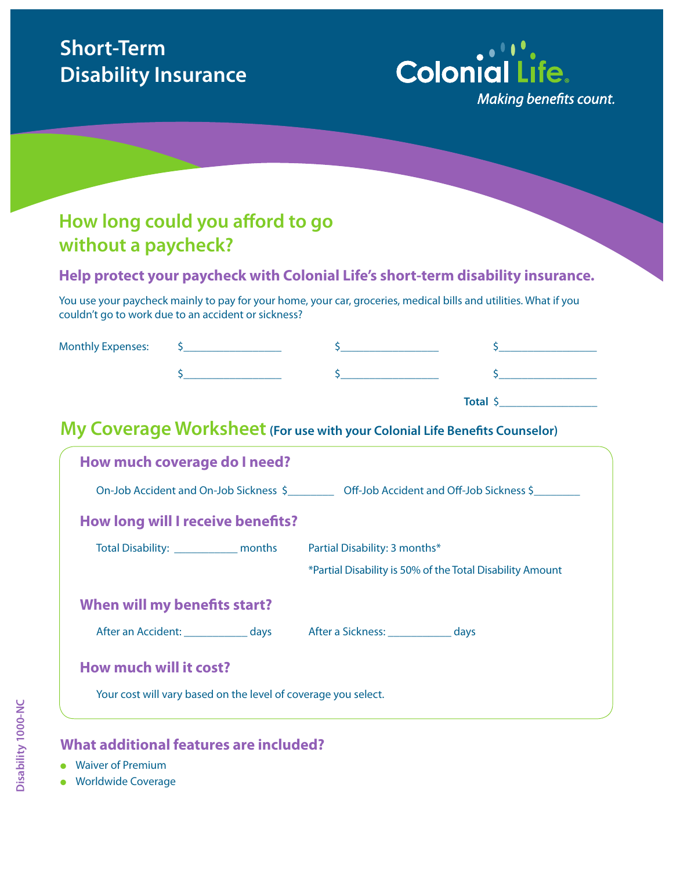# **Short-Term Disability Insurance**



# **How long could you afford to go without a paycheck?**

## **Help protect your paycheck with Colonial Life's short-term disability insurance.**

You use your paycheck mainly to pay for your home, your car, groceries, medical bills and utilities. What if you couldn't go to work due to an accident or sickness?

| <b>Monthly Expenses:</b> |  |  |
|--------------------------|--|--|
|                          |  |  |
|                          |  |  |

**Total** \$\_

# **My Coverage Worksheet** (For use with your Colonial Life Benefits Counselor)

| How much coverage do I need?<br>On-Job Accident and On-Job Sickness \$ Off-Job Accident and Off-Job Sickness \$ |                                                           |  |  |  |
|-----------------------------------------------------------------------------------------------------------------|-----------------------------------------------------------|--|--|--|
| How long will I receive benefits?                                                                               |                                                           |  |  |  |
| Total Disability: ______________ months Partial Disability: 3 months*                                           |                                                           |  |  |  |
|                                                                                                                 | *Partial Disability is 50% of the Total Disability Amount |  |  |  |
| When will my benefits start?                                                                                    |                                                           |  |  |  |
| After an Accident: Mays After a Sickness: Mays                                                                  |                                                           |  |  |  |
| How much will it cost?<br>Your cost will vary based on the level of coverage you select.                        |                                                           |  |  |  |

#### **What additional features are included?**

- Waiver of Premium
- **Worldwide Coverage**